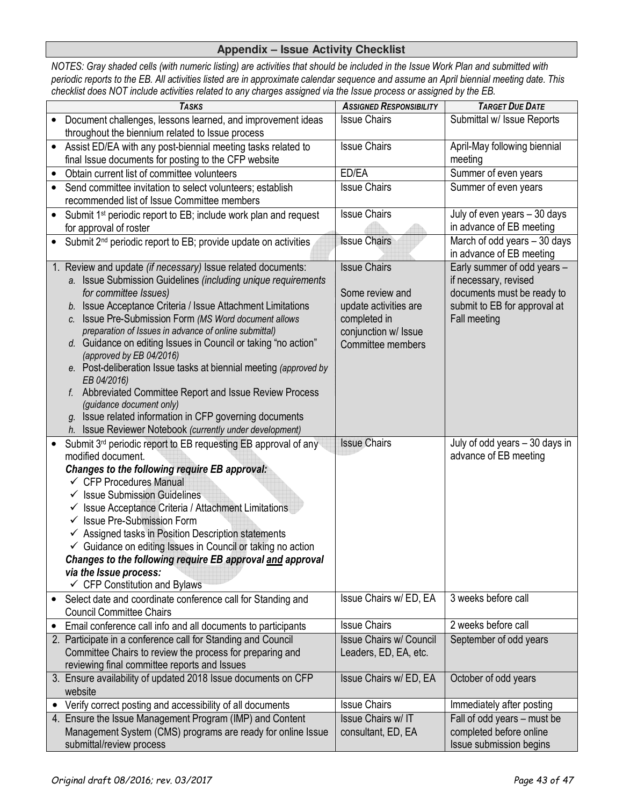## **Appendix – Issue Activity Checklist**

*NOTES: Gray shaded cells (with numeric listing) are activities that should be included in the Issue Work Plan and submitted with periodic reports to the EB. All activities listed are in approximate calendar sequence and assume an April biennial meeting date. This checklist does NOT include activities related to any charges assigned via the Issue process or assigned by the EB.* 

|           | <b>TASKS</b>                                                                                   | <b>ASSIGNED RESPONSIBILITY</b> | <b>TARGET DUE DATE</b>         |
|-----------|------------------------------------------------------------------------------------------------|--------------------------------|--------------------------------|
|           | Document challenges, lessons learned, and improvement ideas                                    | <b>Issue Chairs</b>            | Submittal w/ Issue Reports     |
|           | throughout the biennium related to Issue process                                               |                                |                                |
| $\bullet$ | Assist ED/EA with any post-biennial meeting tasks related to                                   | <b>Issue Chairs</b>            | April-May following biennial   |
|           | final Issue documents for posting to the CFP website                                           |                                | meeting                        |
|           | Obtain current list of committee volunteers                                                    | ED/EA                          | Summer of even years           |
|           | Send committee invitation to select volunteers; establish                                      | <b>Issue Chairs</b>            | Summer of even years           |
|           | recommended list of Issue Committee members                                                    |                                |                                |
|           | Submit 1 <sup>st</sup> periodic report to EB; include work plan and request                    | <b>Issue Chairs</b>            | July of even years - 30 days   |
|           | for approval of roster                                                                         |                                | in advance of EB meeting       |
| $\bullet$ | Submit 2 <sup>nd</sup> periodic report to EB; provide update on activities                     | <b>Issue Chairs</b>            | March of odd years - 30 days   |
|           |                                                                                                |                                | in advance of EB meeting       |
|           | Review and update (if necessary) Issue related documents:                                      | <b>Issue Chairs</b>            | Early summer of odd years -    |
|           | a. Issue Submission Guidelines (including unique requirements                                  |                                | if necessary, revised          |
|           | for committee Issues)                                                                          | Some review and                | documents must be ready to     |
|           | b. Issue Acceptance Criteria / Issue Attachment Limitations                                    | update activities are          | submit to EB for approval at   |
|           | c. Issue Pre-Submission Form (MS Word document allows                                          | completed in                   | Fall meeting                   |
|           | preparation of Issues in advance of online submittal)                                          | conjunction w/ Issue           |                                |
|           | d. Guidance on editing Issues in Council or taking "no action"                                 | Committee members              |                                |
|           | (approved by EB 04/2016)<br>e. Post-deliberation Issue tasks at biennial meeting (approved by  |                                |                                |
|           | EB 04/2016)                                                                                    |                                |                                |
|           | f. Abbreviated Committee Report and Issue Review Process                                       |                                |                                |
|           | (guidance document only)                                                                       |                                |                                |
|           | g. Issue related information in CFP governing documents                                        |                                |                                |
|           | h. Issue Reviewer Notebook (currently under development)                                       |                                |                                |
|           | Submit 3 <sup>rd</sup> periodic report to EB requesting EB approval of any                     | <b>Issue Chairs</b>            | July of odd years - 30 days in |
|           | modified document.                                                                             |                                | advance of EB meeting          |
|           | <b>Changes to the following require EB approval:</b>                                           |                                |                                |
|           | $\checkmark$ CFP Procedures Manual                                                             |                                |                                |
|           | <b>Issue Submission Guidelines</b>                                                             |                                |                                |
|           | Issue Acceptance Criteria / Attachment Limitations<br>✓                                        |                                |                                |
|           | <b>Issue Pre-Submission Form</b><br>✓                                                          |                                |                                |
|           | $\checkmark$ Assigned tasks in Position Description statements                                 |                                |                                |
|           | $\checkmark$ Guidance on editing Issues in Council or taking no action                         |                                |                                |
|           | Changes to the following require EB approval and approval                                      |                                |                                |
|           | via the Issue process:<br>$\checkmark$ CFP Constitution and Bylaws                             |                                |                                |
|           |                                                                                                | Issue Chairs w/ ED, EA         | 3 weeks before call            |
|           | Select date and coordinate conference call for Standing and<br><b>Council Committee Chairs</b> |                                |                                |
|           | Email conference call info and all documents to participants                                   | <b>Issue Chairs</b>            | 2 weeks before call            |
|           | 2. Participate in a conference call for Standing and Council                                   | Issue Chairs w/ Council        | September of odd years         |
|           | Committee Chairs to review the process for preparing and                                       | Leaders, ED, EA, etc.          |                                |
|           | reviewing final committee reports and Issues                                                   |                                |                                |
|           | 3. Ensure availability of updated 2018 Issue documents on CFP                                  | Issue Chairs w/ ED, EA         | October of odd years           |
|           | website                                                                                        |                                |                                |
|           | Verify correct posting and accessibility of all documents                                      | <b>Issue Chairs</b>            | Immediately after posting      |
|           | 4. Ensure the Issue Management Program (IMP) and Content                                       | Issue Chairs w/ IT             | Fall of odd years - must be    |
|           | Management System (CMS) programs are ready for online Issue                                    | consultant, ED, EA             | completed before online        |
|           | submittal/review process                                                                       |                                | Issue submission begins        |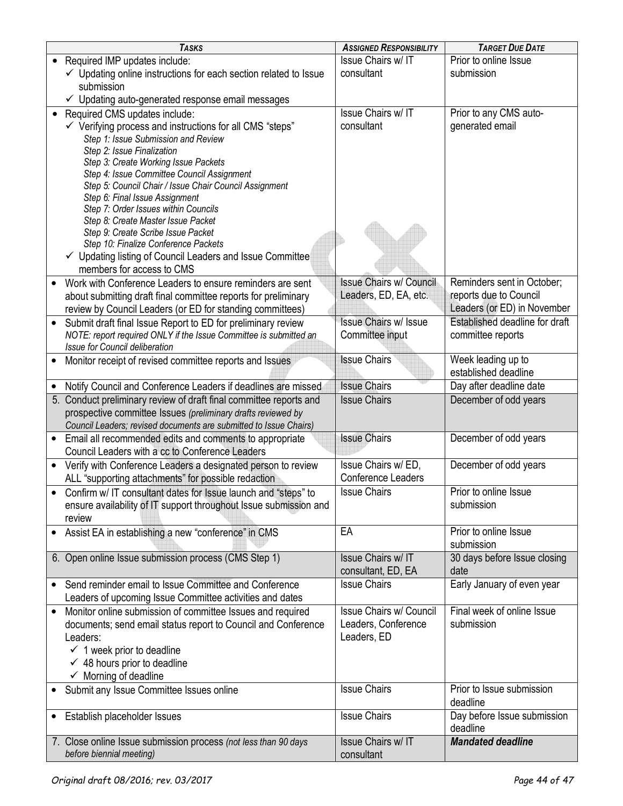|           | <b>TASKS</b>                                                                | <b>ASSIGNED RESPONSIBILITY</b> | <b>TARGET DUE DATE</b>               |
|-----------|-----------------------------------------------------------------------------|--------------------------------|--------------------------------------|
|           | Required IMP updates include:                                               | <b>Issue Chairs w/IT</b>       | Prior to online Issue                |
|           | $\checkmark$ Updating online instructions for each section related to Issue | consultant                     | submission                           |
|           | submission                                                                  |                                |                                      |
|           | ✓ Updating auto-generated response email messages                           |                                |                                      |
| $\bullet$ | Required CMS updates include:                                               | Issue Chairs w/ IT             | Prior to any CMS auto-               |
|           | $\checkmark$ Verifying process and instructions for all CMS "steps"         | consultant                     | generated email                      |
|           | Step 1: Issue Submission and Review                                         |                                |                                      |
|           | Step 2: Issue Finalization                                                  |                                |                                      |
|           | Step 3: Create Working Issue Packets                                        |                                |                                      |
|           | Step 4: Issue Committee Council Assignment                                  |                                |                                      |
|           | Step 5: Council Chair / Issue Chair Council Assignment                      |                                |                                      |
|           | Step 6: Final Issue Assignment                                              |                                |                                      |
|           | Step 7: Order Issues within Councils                                        |                                |                                      |
|           | Step 8: Create Master Issue Packet                                          |                                |                                      |
|           | Step 9: Create Scribe Issue Packet<br>Step 10: Finalize Conference Packets  |                                |                                      |
|           | $\checkmark$ Updating listing of Council Leaders and Issue Committee        |                                |                                      |
|           | members for access to CMS                                                   |                                |                                      |
|           |                                                                             | <b>Issue Chairs w/ Council</b> | Reminders sent in October;           |
|           | Work with Conference Leaders to ensure reminders are sent                   |                                |                                      |
|           | about submitting draft final committee reports for preliminary              | Leaders, ED, EA, etc.          | reports due to Council               |
|           | review by Council Leaders (or ED for standing committees)                   |                                | Leaders (or ED) in November          |
|           | Submit draft final Issue Report to ED for preliminary review                | <b>Issue Chairs w/ Issue</b>   | Established deadline for draft       |
|           | NOTE: report required ONLY if the Issue Committee is submitted an           | Committee input                | committee reports                    |
|           | Issue for Council deliberation                                              |                                |                                      |
|           | Monitor receipt of revised committee reports and Issues                     | <b>Issue Chairs</b>            | Week leading up to                   |
|           |                                                                             |                                | established deadline                 |
|           | Notify Council and Conference Leaders if deadlines are missed               | <b>Issue Chairs</b>            | Day after deadline date              |
|           | 5. Conduct preliminary review of draft final committee reports and          | <b>Issue Chairs</b>            | December of odd years                |
|           | prospective committee Issues (preliminary drafts reviewed by                |                                |                                      |
|           | Council Leaders; revised documents are submitted to Issue Chairs)           |                                |                                      |
|           | Email all recommended edits and comments to appropriate                     | <b>Issue Chairs</b>            | December of odd years                |
|           | Council Leaders with a cc to Conference Leaders                             |                                |                                      |
| $\bullet$ | Verify with Conference Leaders a designated person to review                | Issue Chairs w/ED,             | December of odd years                |
|           | ALL "supporting attachments" for possible redaction                         | <b>Conference Leaders</b>      |                                      |
| $\bullet$ | Confirm w/IT consultant dates for Issue launch and "steps" to               | <b>Issue Chairs</b>            | Prior to online Issue                |
|           | ensure availability of IT support throughout Issue submission and           |                                | submission                           |
|           | review                                                                      |                                |                                      |
|           | • Assist EA in establishing a new "conference" in CMS                       | EA                             | Prior to online Issue                |
|           |                                                                             |                                | submission                           |
|           | 6. Open online Issue submission process (CMS Step 1)                        | Issue Chairs w/ IT             | 30 days before Issue closing         |
|           |                                                                             | consultant, ED, EA             | date                                 |
|           | Send reminder email to Issue Committee and Conference                       | <b>Issue Chairs</b>            | Early January of even year           |
|           | Leaders of upcoming Issue Committee activities and dates                    |                                |                                      |
|           | Monitor online submission of committee Issues and required                  | <b>Issue Chairs w/ Council</b> | Final week of online Issue           |
|           | documents; send email status report to Council and Conference               | Leaders, Conference            | submission                           |
|           | Leaders:                                                                    | Leaders, ED                    |                                      |
|           | $\checkmark$ 1 week prior to deadline                                       |                                |                                      |
|           | $\checkmark$ 48 hours prior to deadline                                     |                                |                                      |
|           | $\checkmark$ Morning of deadline                                            |                                |                                      |
|           | Submit any Issue Committee Issues online                                    | <b>Issue Chairs</b>            | Prior to Issue submission            |
|           |                                                                             |                                | deadline                             |
| $\bullet$ |                                                                             |                                |                                      |
|           |                                                                             |                                |                                      |
|           | Establish placeholder Issues                                                | <b>Issue Chairs</b>            | Day before Issue submission          |
|           | 7. Close online Issue submission process (not less than 90 days             | Issue Chairs w/ IT             | deadline<br><b>Mandated deadline</b> |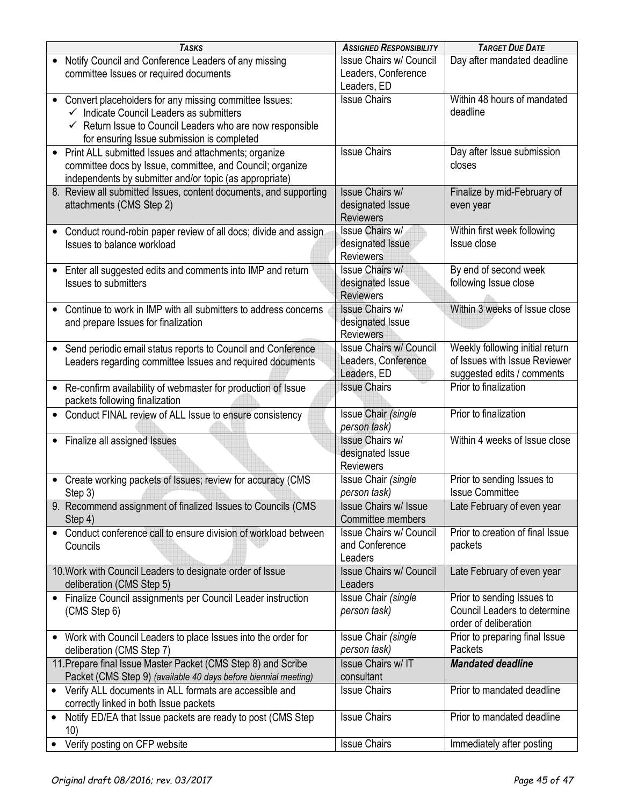| <b>TASKS</b>                                                                                                                                                                                                                        | <b>ASSIGNED RESPONSIBILITY</b>                                       | <b>TARGET DUE DATE</b>                                                                         |
|-------------------------------------------------------------------------------------------------------------------------------------------------------------------------------------------------------------------------------------|----------------------------------------------------------------------|------------------------------------------------------------------------------------------------|
| Notify Council and Conference Leaders of any missing<br>committee Issues or required documents                                                                                                                                      | <b>Issue Chairs w/ Council</b><br>Leaders, Conference<br>Leaders, ED | Day after mandated deadline                                                                    |
| Convert placeholders for any missing committee Issues:<br>$\bullet$<br>Indicate Council Leaders as submitters<br>$\checkmark$ Return Issue to Council Leaders who are now responsible<br>for ensuring Issue submission is completed | <b>Issue Chairs</b>                                                  | Within 48 hours of mandated<br>deadline                                                        |
| Print ALL submitted Issues and attachments; organize<br>$\bullet$<br>committee docs by Issue, committee, and Council; organize<br>independents by submitter and/or topic (as appropriate)                                           | <b>Issue Chairs</b>                                                  | Day after Issue submission<br>closes                                                           |
| 8. Review all submitted Issues, content documents, and supporting<br>attachments (CMS Step 2)                                                                                                                                       | <b>Issue Chairs w/</b><br>designated Issue<br><b>Reviewers</b>       | Finalize by mid-February of<br>even year                                                       |
| Conduct round-robin paper review of all docs; divide and assign.<br>$\bullet$<br>Issues to balance workload                                                                                                                         | <b>Issue Chairs w/</b><br>designated Issue<br><b>Reviewers</b>       | Within first week following<br>Issue close                                                     |
| Enter all suggested edits and comments into IMP and return<br>$\bullet$<br><b>Issues to submitters</b>                                                                                                                              | Issue Chairs w/<br>designated Issue<br><b>Reviewers</b>              | By end of second week<br>following Issue close                                                 |
| Continue to work in IMP with all submitters to address concerns<br>$\bullet$<br>and prepare Issues for finalization                                                                                                                 | <b>Issue Chairs w/</b><br>designated Issue<br><b>Reviewers</b>       | Within 3 weeks of Issue close                                                                  |
| Send periodic email status reports to Council and Conference<br>$\bullet$<br>Leaders regarding committee Issues and required documents                                                                                              | <b>Issue Chairs w/ Council</b><br>Leaders, Conference<br>Leaders, ED | Weekly following initial return<br>of Issues with Issue Reviewer<br>suggested edits / comments |
| Re-confirm availability of webmaster for production of Issue<br>$\bullet$<br>packets following finalization                                                                                                                         | <b>Issue Chairs</b>                                                  | Prior to finalization                                                                          |
| Conduct FINAL review of ALL Issue to ensure consistency<br>$\bullet$                                                                                                                                                                | Issue Chair (single<br>person task)                                  | Prior to finalization                                                                          |
| • Finalize all assigned Issues                                                                                                                                                                                                      | <b>Issue Chairs w/</b><br>designated Issue<br><b>Reviewers</b>       | Within 4 weeks of Issue close                                                                  |
| Create working packets of Issues; review for accuracy (CMS<br>$\bullet$<br>Step 3)                                                                                                                                                  | Issue Chair (single<br>person task)                                  | Prior to sending Issues to<br><b>Issue Committee</b>                                           |
| 9. Recommend assignment of finalized Issues to Councils (CMS<br>Step 4)                                                                                                                                                             | <b>Issue Chairs w/ Issue</b><br>Committee members                    | Late February of even year                                                                     |
| Conduct conference call to ensure division of workload between<br>$\bullet$<br>Councils                                                                                                                                             | <b>Issue Chairs w/ Council</b><br>and Conference<br>Leaders          | Prior to creation of final Issue<br>packets                                                    |
| 10. Work with Council Leaders to designate order of Issue<br>deliberation (CMS Step 5)                                                                                                                                              | <b>Issue Chairs w/ Council</b><br>Leaders                            | Late February of even year                                                                     |
| Finalize Council assignments per Council Leader instruction<br>$\bullet$<br>(CMS Step 6)                                                                                                                                            | Issue Chair (single<br>person task)                                  | Prior to sending Issues to<br>Council Leaders to determine<br>order of deliberation            |
| Work with Council Leaders to place Issues into the order for<br>deliberation (CMS Step 7)                                                                                                                                           | Issue Chair (single<br>person task)                                  | Prior to preparing final Issue<br>Packets                                                      |
| 11. Prepare final Issue Master Packet (CMS Step 8) and Scribe<br>Packet (CMS Step 9) (available 40 days before biennial meeting)                                                                                                    | <b>Issue Chairs w/ IT</b><br>consultant                              | <b>Mandated deadline</b>                                                                       |
| • Verify ALL documents in ALL formats are accessible and<br>correctly linked in both Issue packets                                                                                                                                  | <b>Issue Chairs</b>                                                  | Prior to mandated deadline                                                                     |
| Notify ED/EA that Issue packets are ready to post (CMS Step<br>$\bullet$<br>10)                                                                                                                                                     | <b>Issue Chairs</b>                                                  | Prior to mandated deadline                                                                     |
| Verify posting on CFP website                                                                                                                                                                                                       | <b>Issue Chairs</b>                                                  | Immediately after posting                                                                      |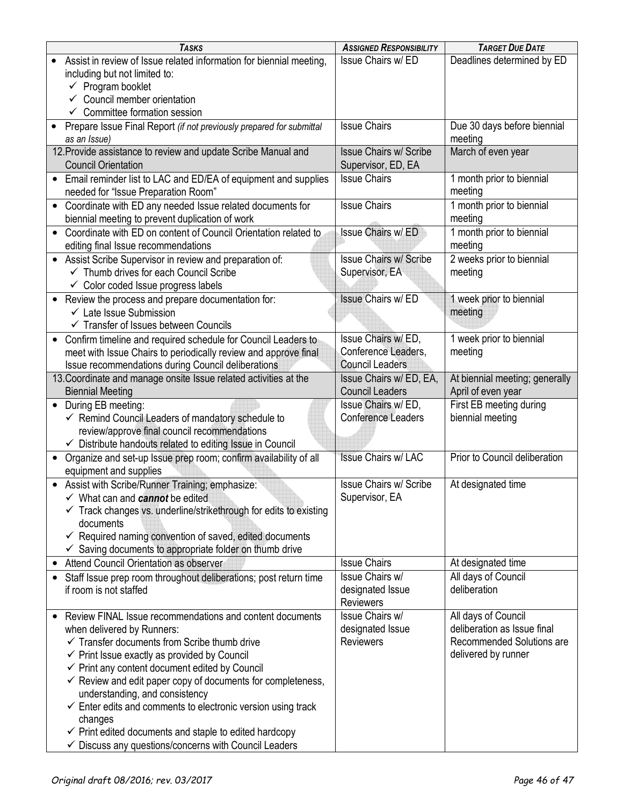| <b>TASKS</b>                                                                                                           | <b>ASSIGNED RESPONSIBILITY</b>            | <b>TARGET DUE DATE</b>         |
|------------------------------------------------------------------------------------------------------------------------|-------------------------------------------|--------------------------------|
| Assist in review of Issue related information for biennial meeting,                                                    | Issue Chairs w/ ED                        | Deadlines determined by ED     |
| including but not limited to:                                                                                          |                                           |                                |
| $\checkmark$ Program booklet                                                                                           |                                           |                                |
| $\checkmark$ Council member orientation                                                                                |                                           |                                |
| $\checkmark$ Committee formation session                                                                               |                                           |                                |
| Prepare Issue Final Report (if not previously prepared for submittal                                                   | <b>Issue Chairs</b>                       | Due 30 days before biennial    |
| as an Issue)                                                                                                           |                                           | meeting                        |
| 12. Provide assistance to review and update Scribe Manual and                                                          | <b>Issue Chairs w/ Scribe</b>             | March of even year             |
| <b>Council Orientation</b>                                                                                             | Supervisor, ED, EA                        |                                |
| Email reminder list to LAC and ED/EA of equipment and supplies                                                         | <b>Issue Chairs</b>                       | 1 month prior to biennial      |
| needed for "Issue Preparation Room"                                                                                    |                                           | meeting                        |
| Coordinate with ED any needed Issue related documents for                                                              | <b>Issue Chairs</b>                       | 1 month prior to biennial      |
| biennial meeting to prevent duplication of work                                                                        |                                           | meeting                        |
| Coordinate with ED on content of Council Orientation related to<br>$\bullet$                                           | Issue Chairs w/ ED                        | 1 month prior to biennial      |
| editing final Issue recommendations                                                                                    |                                           | meeting                        |
| • Assist Scribe Supervisor in review and preparation of:                                                               | <b>Issue Chairs w/ Scribe</b>             | 2 weeks prior to biennial      |
| ← Thumb drives for each Council Scribe                                                                                 | Supervisor, EA                            | meeting                        |
| $\checkmark$ Color coded Issue progress labels                                                                         |                                           |                                |
| • Review the process and prepare documentation for:                                                                    | <b>Issue Chairs w/ED</b>                  | 1 week prior to biennial       |
| $\checkmark$ Late Issue Submission                                                                                     |                                           | meeting                        |
| ✓ Transfer of Issues between Councils                                                                                  |                                           |                                |
| Confirm timeline and required schedule for Council Leaders to<br>$\bullet$                                             | Issue Chairs w/ED,<br>Conference Leaders, | 1 week prior to biennial       |
| meet with Issue Chairs to periodically review and approve final                                                        | <b>Council Leaders</b>                    | meeting                        |
| Issue recommendations during Council deliberations<br>13. Coordinate and manage onsite Issue related activities at the | Issue Chairs w/ ED, EA,                   | At biennial meeting; generally |
| <b>Biennial Meeting</b>                                                                                                | <b>Council Leaders</b>                    | April of even year             |
| • During EB meeting:                                                                                                   | Issue Chairs w/ ED,                       | First EB meeting during        |
| $\checkmark$ Remind Council Leaders of mandatory schedule to                                                           | <b>Conference Leaders</b>                 | biennial meeting               |
| review/approve final council recommendations                                                                           |                                           |                                |
| $\checkmark$ Distribute handouts related to editing Issue in Council                                                   |                                           |                                |
| Organize and set-up Issue prep room; confirm availability of all<br>$\bullet$                                          | <b>Issue Chairs w/ LAC</b>                | Prior to Council deliberation  |
| equipment and supplies                                                                                                 |                                           |                                |
| • Assist with Scribe/Runner Training; emphasize:                                                                       | <b>Issue Chairs w/ Scribe</b>             | At designated time             |
| ∕ What can and cannot be edited                                                                                        | Supervisor, EA                            |                                |
| $\checkmark$ Track changes vs. underline/strikethrough for edits to existing                                           |                                           |                                |
| documents                                                                                                              |                                           |                                |
| $\checkmark$ Required naming convention of saved, edited documents                                                     |                                           |                                |
| $\checkmark$ Saving documents to appropriate folder on thumb drive                                                     |                                           |                                |
| Attend Council Orientation as observer                                                                                 | <b>Issue Chairs</b>                       | At designated time             |
| Staff Issue prep room throughout deliberations; post return time                                                       | Issue Chairs w/                           | All days of Council            |
| if room is not staffed                                                                                                 | designated Issue                          | deliberation                   |
|                                                                                                                        | <b>Reviewers</b>                          |                                |
| Review FINAL Issue recommendations and content documents                                                               | Issue Chairs w/                           | All days of Council            |
| when delivered by Runners:                                                                                             | designated Issue                          | deliberation as Issue final    |
| $\checkmark$ Transfer documents from Scribe thumb drive                                                                | <b>Reviewers</b>                          | Recommended Solutions are      |
| $\checkmark$ Print Issue exactly as provided by Council                                                                |                                           | delivered by runner            |
| $\checkmark$ Print any content document edited by Council                                                              |                                           |                                |
| $\checkmark$ Review and edit paper copy of documents for completeness,                                                 |                                           |                                |
| understanding, and consistency<br>$\checkmark$ Enter edits and comments to electronic version using track              |                                           |                                |
| changes                                                                                                                |                                           |                                |
| $\checkmark$ Print edited documents and staple to edited hardcopy                                                      |                                           |                                |
| $\checkmark$ Discuss any questions/concerns with Council Leaders                                                       |                                           |                                |